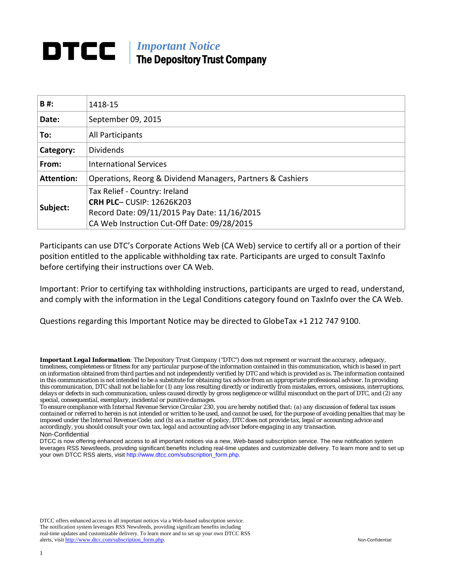# *Important Notice* The Depository Trust Company

| B#:               | 1418-15                                                    |
|-------------------|------------------------------------------------------------|
| Date:             | September 09, 2015                                         |
| To:               | All Participants                                           |
| Category:         | <b>Dividends</b>                                           |
| From:             | <b>International Services</b>                              |
| <b>Attention:</b> | Operations, Reorg & Dividend Managers, Partners & Cashiers |
|                   | Tax Relief - Country: Ireland                              |
| Subject:          | <b>CRH PLC-CUSIP: 12626K203</b>                            |
|                   | Record Date: 09/11/2015 Pay Date: 11/16/2015               |
|                   | CA Web Instruction Cut-Off Date: 09/28/2015                |

Participants can use DTC's Corporate Actions Web (CA Web) service to certify all or a portion of their position entitled to the applicable withholding tax rate. Participants are urged to consult TaxInfo before certifying their instructions over CA Web.

Important: Prior to certifying tax withholding instructions, participants are urged to read, understand, and comply with the information in the Legal Conditions category found on TaxInfo over the CA Web.

Questions regarding this Important Notice may be directed to GlobeTax +1 212 747 9100.

DTCC offers enhanced access to all important notices via a Web-based subscription service. The notification system leverages RSS Newsfeeds, providing significant benefits including real-time updates and customizable delivery. To learn more and to set up your own DTCC RSS alerts, visit [http://www.dtcc.com/subscription\\_form.php.](http://www.dtcc.com/subscription_form.php) Non-Confidential

*Important Legal Information: The Depository Trust Company ("DTC") does not represent or warrant the accuracy, adequacy, timeliness, completeness or fitness for any particular purpose of the information contained in this communication, which is based in part on information obtained from third parties and not independently verified by DTC and which is provided as is. The information contained in this communication is not intended to be a substitute for obtaining tax advice from an appropriate professional advisor. In providing this communication, DTC shall not be liable for (1) any loss resulting directly or indirectly from mistakes, errors, omissions, interruptions, delays or defects in such communication, unless caused directly by gross negligence or willful misconduct on the part of DTC, and (2) any special, consequential, exemplary, incidental or punitive damages.*

*To ensure compliance with Internal Revenue Service Circular 230, you are hereby notified that: (a) any discussion of federal tax issues contained or referred to herein is not intended or written to be used, and cannot be used, for the purpose of avoiding penalties that may be imposed under the Internal Revenue Code; and (b) as a matter of policy, DTC does not provide tax, legal or accounting advice and accordingly, you should consult your own tax, legal and accounting advisor before engaging in any transaction.* Non-Confidential

DTCC is now offering enhanced access to all important notices via a new, Web-based subscription service. The new notification system leverages RSS Newsfeeds, providing significant benefits including real-time updates and customizable delivery. To learn more and to set up your own DTCC RSS alerts, visit http://www.dtcc.com/subscription\_form.php.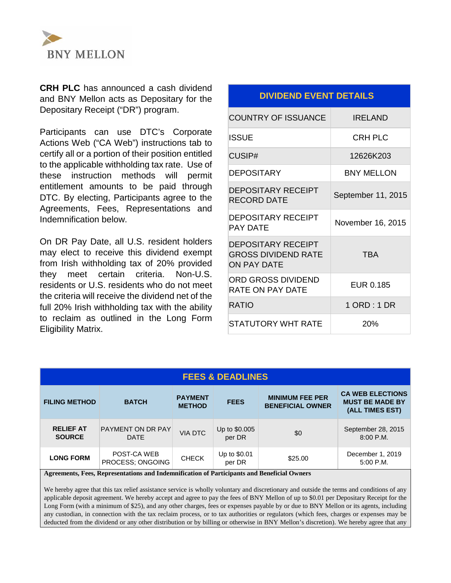

**CRH PLC** has announced a cash dividend and BNY Mellon acts as Depositary for the Depositary Receipt ("DR") program.

Participants can use DTC's Corporate Actions Web ("CA Web") instructions tab to certify all or a portion of their position entitled to the applicable withholding tax rate. Use of these instruction methods will permit entitlement amounts to be paid through DTC. By electing, Participants agree to the Agreements, Fees, Representations and Indemnification below.

On DR Pay Date, all U.S. resident holders may elect to receive this dividend exempt from Irish withholding tax of 20% provided they meet certain criteria. Non-U.S. residents or U.S. residents who do not meet the criteria will receive the dividend net of the full 20% Irish withholding tax with the ability to reclaim as outlined in the Long Form Eligibility Matrix.

# **DIVIDEND EVENT DETAILS**

| <b>COUNTRY OF ISSUANCE</b>                               | IRFI AND           |
|----------------------------------------------------------|--------------------|
| <b>ISSUE</b>                                             | <b>CRH PLC</b>     |
| CUSIP#                                                   | 12626K203          |
| <b>DEPOSITARY</b>                                        | <b>BNY MELLON</b>  |
| <b>DEPOSITARY RECEIPT</b><br>RECORD DATE                 | September 11, 2015 |
| <b>DEPOSITARY RECEIPT</b><br>PAY DATF                    | November 16, 2015  |
| DEPOSITARY RECEIPT<br>GROSS DIVIDEND RATE<br>ON PAY DATF | <b>TBA</b>         |
| ORD GROSS DIVIDEND<br>RATE ON PAY DATE                   | EUR 0.185          |
| <b>RATIO</b>                                             | 1 ORD : 1 DR       |
| STATUTORY WHT RATE                                       | 20%                |

| <b>FEES &amp; DEADLINES</b>       |                                                                                                                     |                |                         |         |                                   |  |
|-----------------------------------|---------------------------------------------------------------------------------------------------------------------|----------------|-------------------------|---------|-----------------------------------|--|
| <b>FILING METHOD</b>              | <b>MINIMUM FEE PER</b><br><b>PAYMENT</b><br><b>BATCH</b><br><b>FEES</b><br><b>BENEFICIAL OWNER</b><br><b>METHOD</b> |                |                         |         |                                   |  |
| <b>RELIEF AT</b><br><b>SOURCE</b> | <b>PAYMENT ON DR PAY</b><br><b>DATE</b>                                                                             | <b>VIA DTC</b> | Up to \$0.005<br>per DR | \$0     | September 28, 2015<br>$8:00$ P.M. |  |
| <b>LONG FORM</b>                  | POST-CA WEB<br>PROCESS; ONGOING                                                                                     | <b>CHECK</b>   | Up to \$0.01<br>per DR  | \$25.00 | December 1, 2019<br>5:00 P.M.     |  |

**Agreements, Fees, Representations and Indemnification of Participants and Beneficial Owners**

We hereby agree that this tax relief assistance service is wholly voluntary and discretionary and outside the terms and conditions of any applicable deposit agreement. We hereby accept and agree to pay the fees of BNY Mellon of up to \$0.01 per Depositary Receipt for the Long Form (with a minimum of \$25), and any other charges, fees or expenses payable by or due to BNY Mellon or its agents, including any custodian, in connection with the tax reclaim process, or to tax authorities or regulators (which fees, charges or expenses may be deducted from the dividend or any other distribution or by billing or otherwise in BNY Mellon's discretion). We hereby agree that any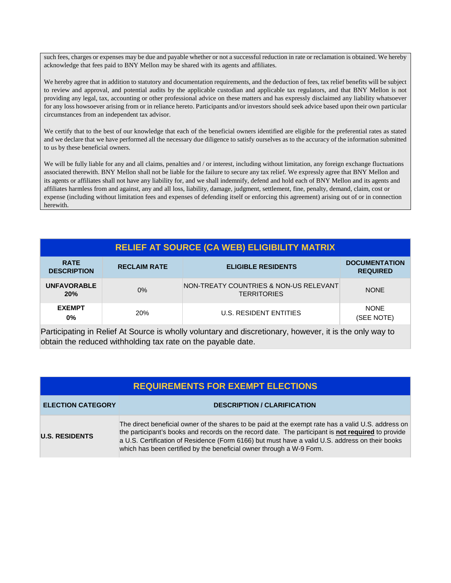such fees, charges or expenses may be due and payable whether or not a successful reduction in rate or reclamation is obtained. We hereby acknowledge that fees paid to BNY Mellon may be shared with its agents and affiliates.

We hereby agree that in addition to statutory and documentation requirements, and the deduction of fees, tax relief benefits will be subject to review and approval, and potential audits by the applicable custodian and applicable tax regulators, and that BNY Mellon is not providing any legal, tax, accounting or other professional advice on these matters and has expressly disclaimed any liability whatsoever for any loss howsoever arising from or in reliance hereto. Participants and/or investors should seek advice based upon their own particular circumstances from an independent tax advisor.

We certify that to the best of our knowledge that each of the beneficial owners identified are eligible for the preferential rates as stated and we declare that we have performed all the necessary due diligence to satisfy ourselves as to the accuracy of the information submitted to us by these beneficial owners.

We will be fully liable for any and all claims, penalties and / or interest, including without limitation, any foreign exchange fluctuations associated therewith. BNY Mellon shall not be liable for the failure to secure any tax relief. We expressly agree that BNY Mellon and its agents or affiliates shall not have any liability for, and we shall indemnify, defend and hold each of BNY Mellon and its agents and affiliates harmless from and against, any and all loss, liability, damage, judgment, settlement, fine, penalty, demand, claim, cost or expense (including without limitation fees and expenses of defending itself or enforcing this agreement) arising out of or in connection herewith.

# **RELIEF AT SOURCE (CA WEB) ELIGIBILITY MATRIX**

| <b>RATE</b><br><b>DESCRIPTION</b> | <b>RECLAIM RATE</b> | <b>ELIGIBLE RESIDENTS</b>                                    | <b>DOCUMENTATION</b><br><b>REQUIRED</b> |
|-----------------------------------|---------------------|--------------------------------------------------------------|-----------------------------------------|
| <b>UNFAVORABLE</b><br>20%         | $0\%$               | NON-TREATY COUNTRIES & NON-US RELEVANT<br><b>TERRITORIES</b> | <b>NONE</b>                             |
| <b>EXEMPT</b><br>$0\%$            | <b>20%</b>          | U.S. RESIDENT ENTITIES                                       | <b>NONE</b><br>(SEE NOTE)               |

Participating in Relief At Source is wholly voluntary and discretionary, however, it is the only way to obtain the reduced withholding tax rate on the payable date.

| <b>REQUIREMENTS FOR EXEMPT ELECTIONS</b> |                                                                                                                                                                                                                                                                                                                                                                                             |  |  |  |
|------------------------------------------|---------------------------------------------------------------------------------------------------------------------------------------------------------------------------------------------------------------------------------------------------------------------------------------------------------------------------------------------------------------------------------------------|--|--|--|
| <b>ELECTION CATEGORY</b>                 | <b>DESCRIPTION / CLARIFICATION</b>                                                                                                                                                                                                                                                                                                                                                          |  |  |  |
| <b>U.S. RESIDENTS</b>                    | The direct beneficial owner of the shares to be paid at the exempt rate has a valid U.S. address on<br>the participant's books and records on the record date. The participant is <b>not required</b> to provide<br>a U.S. Certification of Residence (Form 6166) but must have a valid U.S. address on their books<br>which has been certified by the beneficial owner through a W-9 Form. |  |  |  |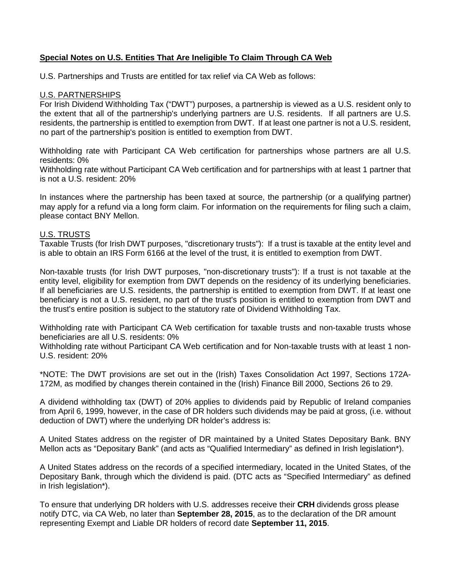# **Special Notes on U.S. Entities That Are Ineligible To Claim Through CA Web**

U.S. Partnerships and Trusts are entitled for tax relief via CA Web as follows:

## U.S. PARTNERSHIPS

For Irish Dividend Withholding Tax ("DWT") purposes, a partnership is viewed as a U.S. resident only to the extent that all of the partnership's underlying partners are U.S. residents. If all partners are U.S. residents, the partnership is entitled to exemption from DWT. If at least one partner is not a U.S. resident, no part of the partnership's position is entitled to exemption from DWT.

Withholding rate with Participant CA Web certification for partnerships whose partners are all U.S. residents: 0%

Withholding rate without Participant CA Web certification and for partnerships with at least 1 partner that is not a U.S. resident: 20%

In instances where the partnership has been taxed at source, the partnership (or a qualifying partner) may apply for a refund via a long form claim. For information on the requirements for filing such a claim, please contact BNY Mellon.

## U.S. TRUSTS

Taxable Trusts (for Irish DWT purposes, "discretionary trusts"): If a trust is taxable at the entity level and is able to obtain an IRS Form 6166 at the level of the trust, it is entitled to exemption from DWT.

Non-taxable trusts (for Irish DWT purposes, "non-discretionary trusts"): If a trust is not taxable at the entity level, eligibility for exemption from DWT depends on the residency of its underlying beneficiaries. If all beneficiaries are U.S. residents, the partnership is entitled to exemption from DWT. If at least one beneficiary is not a U.S. resident, no part of the trust's position is entitled to exemption from DWT and the trust's entire position is subject to the statutory rate of Dividend Withholding Tax.

Withholding rate with Participant CA Web certification for taxable trusts and non-taxable trusts whose beneficiaries are all U.S. residents: 0%

Withholding rate without Participant CA Web certification and for Non-taxable trusts with at least 1 non-U.S. resident: 20%

\*NOTE: The DWT provisions are set out in the (Irish) Taxes Consolidation Act 1997, Sections 172A-172M, as modified by changes therein contained in the (Irish) Finance Bill 2000, Sections 26 to 29.

A dividend withholding tax (DWT) of 20% applies to dividends paid by Republic of Ireland companies from April 6, 1999, however, in the case of DR holders such dividends may be paid at gross, (i.e. without deduction of DWT) where the underlying DR holder's address is:

A United States address on the register of DR maintained by a United States Depositary Bank. BNY Mellon acts as "Depositary Bank" (and acts as "Qualified Intermediary" as defined in Irish legislation\*).

A United States address on the records of a specified intermediary, located in the United States, of the Depositary Bank, through which the dividend is paid. (DTC acts as "Specified Intermediary" as defined in Irish legislation\*).

To ensure that underlying DR holders with U.S. addresses receive their **CRH** dividends gross please notify DTC, via CA Web, no later than **September 28, 2015**, as to the declaration of the DR amount representing Exempt and Liable DR holders of record date **September 11, 2015**.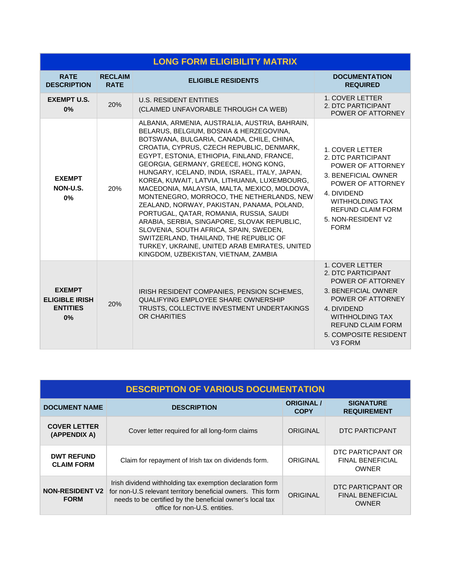| <b>LONG FORM ELIGIBILITY MATRIX</b>                             |                               |                                                                                                                                                                                                                                                                                                                                                                                                                                                                                                                                                                                                                                                                                                                                                                                                |                                                                                                                                                                                                                                    |  |  |
|-----------------------------------------------------------------|-------------------------------|------------------------------------------------------------------------------------------------------------------------------------------------------------------------------------------------------------------------------------------------------------------------------------------------------------------------------------------------------------------------------------------------------------------------------------------------------------------------------------------------------------------------------------------------------------------------------------------------------------------------------------------------------------------------------------------------------------------------------------------------------------------------------------------------|------------------------------------------------------------------------------------------------------------------------------------------------------------------------------------------------------------------------------------|--|--|
| <b>RATE</b><br><b>DESCRIPTION</b>                               | <b>RECLAIM</b><br><b>RATE</b> | <b>ELIGIBLE RESIDENTS</b>                                                                                                                                                                                                                                                                                                                                                                                                                                                                                                                                                                                                                                                                                                                                                                      | <b>DOCUMENTATION</b><br><b>REQUIRED</b>                                                                                                                                                                                            |  |  |
| <b>EXEMPT U.S.</b><br>0%                                        | 20%                           | <b>U.S. RESIDENT ENTITIES</b><br>(CLAIMED UNFAVORABLE THROUGH CA WEB)                                                                                                                                                                                                                                                                                                                                                                                                                                                                                                                                                                                                                                                                                                                          | <b>1. COVER LETTER</b><br>2. DTC PARTICIPANT<br>POWER OF ATTORNEY                                                                                                                                                                  |  |  |
| <b>EXEMPT</b><br>NON-U.S.<br>0%                                 | 20%                           | ALBANIA, ARMENIA, AUSTRALIA, AUSTRIA, BAHRAIN,<br>BELARUS, BELGIUM, BOSNIA & HERZEGOVINA,<br>BOTSWANA, BULGARIA, CANADA, CHILE, CHINA,<br>CROATIA, CYPRUS, CZECH REPUBLIC, DENMARK,<br>EGYPT, ESTONIA, ETHIOPIA, FINLAND, FRANCE,<br>GEORGIA, GERMANY, GREECE, HONG KONG,<br>HUNGARY, ICELAND, INDIA, ISRAEL, ITALY, JAPAN,<br>KOREA, KUWAIT, LATVIA, LITHUANIA, LUXEMBOURG,<br>MACEDONIA, MALAYSIA, MALTA, MEXICO, MOLDOVA,<br>MONTENEGRO, MORROCO, THE NETHERLANDS, NEW<br>ZEALAND, NORWAY, PAKISTAN, PANAMA, POLAND,<br>PORTUGAL, QATAR, ROMANIA, RUSSIA, SAUDI<br>ARABIA, SERBIA, SINGAPORE, SLOVAK REPUBLIC,<br>SLOVENIA, SOUTH AFRICA, SPAIN, SWEDEN,<br>SWITZERLAND, THAILAND, THE REPUBLIC OF<br>TURKEY, UKRAINE, UNITED ARAB EMIRATES, UNITED<br>KINGDOM, UZBEKISTAN, VIETNAM, ZAMBIA | 1. COVER LETTER<br>2. DTC PARTICIPANT<br>POWER OF ATTORNEY<br>3. BENEFICIAL OWNER<br>POWER OF ATTORNEY<br>4. DIVIDEND<br><b>WITHHOLDING TAX</b><br><b>REFUND CLAIM FORM</b><br>5. NON-RESIDENT V2<br><b>FORM</b>                   |  |  |
| <b>EXEMPT</b><br><b>ELIGIBLE IRISH</b><br><b>ENTITIES</b><br>0% | 20%                           | IRISH RESIDENT COMPANIES, PENSION SCHEMES,<br>QUALIFYING EMPLOYEE SHARE OWNERSHIP<br>TRUSTS, COLLECTIVE INVESTMENT UNDERTAKINGS<br>OR CHARITIES                                                                                                                                                                                                                                                                                                                                                                                                                                                                                                                                                                                                                                                | 1. COVER LETTER<br>2. DTC PARTICIPANT<br>POWER OF ATTORNEY<br>3. BENEFICIAL OWNER<br>POWER OF ATTORNEY<br>4. DIVIDEND<br><b>WITHHOLDING TAX</b><br><b>REFUND CLAIM FORM</b><br><b>5. COMPOSITE RESIDENT</b><br>V <sub>3</sub> FORM |  |  |

| <b>DESCRIPTION OF VARIOUS DOCUMENTATION</b> |                                                                                                                                                                                                                        |                                  |                                                              |  |  |
|---------------------------------------------|------------------------------------------------------------------------------------------------------------------------------------------------------------------------------------------------------------------------|----------------------------------|--------------------------------------------------------------|--|--|
| <b>DOCUMENT NAME</b>                        | <b>DESCRIPTION</b>                                                                                                                                                                                                     | <b>ORIGINAL /</b><br><b>COPY</b> | <b>SIGNATURE</b><br><b>REQUIREMENT</b>                       |  |  |
| <b>COVER LETTER</b><br>(APPENDIX A)         | Cover letter required for all long-form claims                                                                                                                                                                         | ORIGINAL                         | DTC PARTICPANT                                               |  |  |
| <b>DWT REFUND</b><br><b>CLAIM FORM</b>      | Claim for repayment of Irish tax on dividends form.                                                                                                                                                                    | ORIGINAL                         | DTC PARTICPANT OR<br><b>FINAL BENEFICIAL</b><br><b>OWNER</b> |  |  |
| <b>NON-RESIDENT V2</b><br><b>FORM</b>       | Irish dividend withholding tax exemption declaration form<br>for non-U.S relevant territory beneficial owners. This form<br>needs to be certified by the beneficial owner's local tax<br>office for non-U.S. entities. | ORIGINAL                         | DTC PARTICPANT OR<br><b>FINAL BENEFICIAL</b><br><b>OWNER</b> |  |  |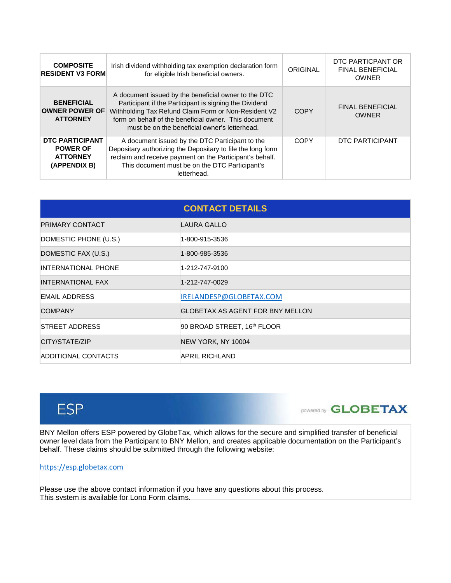| <b>COMPOSITE</b><br><b>RESIDENT V3 FORM</b>                           | Irish dividend withholding tax exemption declaration form<br>for eligible Irish beneficial owners.                                                                                                                                                                               | ORIGINAL    | DTC PARTICPANT OR<br><b>FINAL BENEFICIAL</b><br><b>OWNER</b> |
|-----------------------------------------------------------------------|----------------------------------------------------------------------------------------------------------------------------------------------------------------------------------------------------------------------------------------------------------------------------------|-------------|--------------------------------------------------------------|
| <b>BENEFICIAL</b><br><b>OWNER POWER OF</b><br><b>ATTORNEY</b>         | A document issued by the beneficial owner to the DTC<br>Participant if the Participant is signing the Dividend<br>Withholding Tax Refund Claim Form or Non-Resident V2<br>form on behalf of the beneficial owner. This document<br>must be on the beneficial owner's letterhead. | <b>COPY</b> | <b>FINAL BENEFICIAL</b><br><b>OWNER</b>                      |
| DTC PARTICIPANT<br><b>POWER OF</b><br><b>ATTORNEY</b><br>(APPENDIX B) | A document issued by the DTC Participant to the<br>Depositary authorizing the Depositary to file the long form<br>reclaim and receive payment on the Participant's behalf.<br>This document must be on the DTC Participant's<br>letterhead.                                      | COPY        | DTC PARTICIPANT                                              |

| <b>CONTACT DETAILS</b>   |                                         |  |  |  |
|--------------------------|-----------------------------------------|--|--|--|
| <b>PRIMARY CONTACT</b>   | LAURA GALLO                             |  |  |  |
| DOMESTIC PHONE (U.S.)    | 1-800-915-3536                          |  |  |  |
| DOMESTIC FAX (U.S.)      | 1-800-985-3536                          |  |  |  |
| INTERNATIONAL PHONE      | 1-212-747-9100                          |  |  |  |
| <b>INTERNATIONAL FAX</b> | 1-212-747-0029                          |  |  |  |
| EMAIL ADDRESS            | IRELANDESP@GLOBETAX.COM                 |  |  |  |
| <b>COMPANY</b>           | <b>GLOBETAX AS AGENT FOR BNY MELLON</b> |  |  |  |
| <b>STREET ADDRESS</b>    | 90 BROAD STREET, 16th FLOOR             |  |  |  |
| CITY/STATE/ZIP           | NEW YORK, NY 10004                      |  |  |  |
| ADDITIONAL CONTACTS      | APRIL RICHLAND                          |  |  |  |



# powered by **GLOBETAX**

BNY Mellon offers ESP powered by GlobeTax, which allows for the secure and simplified transfer of beneficial owner level data from the Participant to BNY Mellon, and creates applicable documentation on the Participant's behalf. These claims should be submitted through the following website:

## [https://esp.globetax.com](https://esp.globetax.com/)

Please use the above contact information if you have any questions about this process. This system is available for Long Form claims.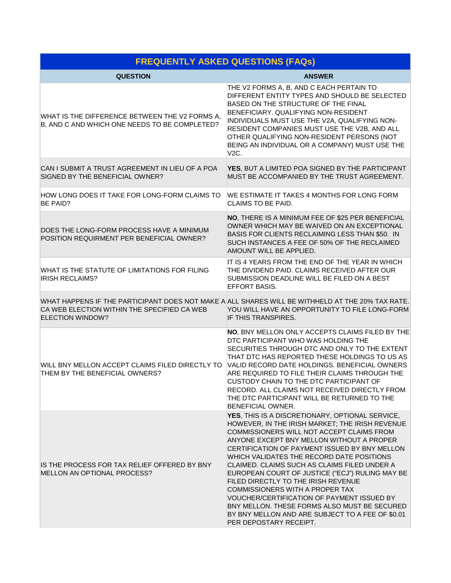| <b>FREQUENTLY ASKED QUESTIONS (FAQs)</b>                                                                                                                                   |                                                                                                                                                                                                                                                                                                                                                                                                                                                                                                                                                                                                                                                     |  |  |  |
|----------------------------------------------------------------------------------------------------------------------------------------------------------------------------|-----------------------------------------------------------------------------------------------------------------------------------------------------------------------------------------------------------------------------------------------------------------------------------------------------------------------------------------------------------------------------------------------------------------------------------------------------------------------------------------------------------------------------------------------------------------------------------------------------------------------------------------------------|--|--|--|
| <b>QUESTION</b>                                                                                                                                                            | <b>ANSWER</b>                                                                                                                                                                                                                                                                                                                                                                                                                                                                                                                                                                                                                                       |  |  |  |
| WHAT IS THE DIFFERENCE BETWEEN THE V2 FORMS A,<br>B, AND C AND WHICH ONE NEEDS TO BE COMPLETED?                                                                            | THE V2 FORMS A, B, AND C EACH PERTAIN TO<br>DIFFERENT ENTITY TYPES AND SHOULD BE SELECTED<br>BASED ON THE STRUCTURE OF THE FINAL<br>BENEFICIARY. QUALIFYING NON-RESIDENT<br>INDIVIDUALS MUST USE THE V2A, QUALIFYING NON-<br>RESIDENT COMPANIES MUST USE THE V2B, AND ALL<br>OTHER QUALIFYING NON-RESIDENT PERSONS (NOT<br>BEING AN INDIVIDUAL OR A COMPANY) MUST USE THE<br>V2C.                                                                                                                                                                                                                                                                   |  |  |  |
| CAN I SUBMIT A TRUST AGREEMENT IN LIEU OF A POA<br>SIGNED BY THE BENEFICIAL OWNER?                                                                                         | YES, BUT A LIMITED POA SIGNED BY THE PARTICIPANT<br>MUST BE ACCOMPANIED BY THE TRUST AGREEMENT.                                                                                                                                                                                                                                                                                                                                                                                                                                                                                                                                                     |  |  |  |
| HOW LONG DOES IT TAKE FOR LONG-FORM CLAIMS TO<br><b>BE PAID?</b>                                                                                                           | WE ESTIMATE IT TAKES 4 MONTHS FOR LONG FORM<br><b>CLAIMS TO BE PAID.</b>                                                                                                                                                                                                                                                                                                                                                                                                                                                                                                                                                                            |  |  |  |
| DOES THE LONG-FORM PROCESS HAVE A MINIMUM<br>POSITION REQUIRMENT PER BENEFICIAL OWNER?                                                                                     | NO, THERE IS A MINIMUM FEE OF \$25 PER BENEFICIAL<br>OWNER WHICH MAY BE WAIVED ON AN EXCEPTIONAL<br>BASIS FOR CLIENTS RECLAIMING LESS THAN \$50. IN<br>SUCH INSTANCES A FEE OF 50% OF THE RECLAIMED<br>AMOUNT WILL BE APPLIED.                                                                                                                                                                                                                                                                                                                                                                                                                      |  |  |  |
| WHAT IS THE STATUTE OF LIMITATIONS FOR FILING<br><b>IRISH RECLAIMS?</b>                                                                                                    | IT IS 4 YEARS FROM THE END OF THE YEAR IN WHICH<br>THE DIVIDEND PAID. CLAIMS RECEIVED AFTER OUR<br>SUBMISSION DEADLINE WILL BE FILED ON A BEST<br><b>EFFORT BASIS.</b>                                                                                                                                                                                                                                                                                                                                                                                                                                                                              |  |  |  |
| WHAT HAPPENS IF THE PARTICIPANT DOES NOT MAKE A ALL SHARES WILL BE WITHHELD AT THE 20% TAX RATE.<br>CA WEB ELECTION WITHIN THE SPECIFIED CA WEB<br><b>ELECTION WINDOW?</b> | YOU WILL HAVE AN OPPORTUNITY TO FILE LONG-FORM<br>IF THIS TRANSPIRES.                                                                                                                                                                                                                                                                                                                                                                                                                                                                                                                                                                               |  |  |  |
| WILL BNY MELLON ACCEPT CLAIMS FILED DIRECTLY TO<br>THEM BY THE BENEFICIAL OWNERS?                                                                                          | NO, BNY MELLON ONLY ACCEPTS CLAIMS FILED BY THE<br>DTC PARTICIPANT WHO WAS HOLDING THE<br>SECURITIES THROUGH DTC AND ONLY TO THE EXTENT<br>THAT DTC HAS REPORTED THESE HOLDINGS TO US AS<br>VALID RECORD DATE HOLDINGS. BENEFICIAL OWNERS<br>ARE REQUIRED TO FILE THEIR CLAIMS THROUGH THE<br>CUSTODY CHAIN TO THE DTC PARTICIPANT OF<br>RECORD. ALL CLAIMS NOT RECEIVED DIRECTLY FROM<br>THE DTC PARTICIPANT WILL BE RETURNED TO THE<br>BENEFICIAL OWNER.                                                                                                                                                                                          |  |  |  |
| IS THE PROCESS FOR TAX RELIEF OFFERED BY BNY<br>MELLON AN OPTIONAL PROCESS?                                                                                                | YES, THIS IS A DISCRETIONARY, OPTIONAL SERVICE,<br>HOWEVER, IN THE IRISH MARKET; THE IRISH REVENUE<br>COMMISSIONERS WILL NOT ACCEPT CLAIMS FROM<br>ANYONE EXCEPT BNY MELLON WITHOUT A PROPER<br>CERTIFICATION OF PAYMENT ISSUED BY BNY MELLON<br>WHICH VALIDATES THE RECORD DATE POSITIONS<br>CLAIMED. CLAIMS SUCH AS CLAIMS FILED UNDER A<br>EUROPEAN COURT OF JUSTICE ("ECJ") RULING MAY BE<br>FILED DIRECTLY TO THE IRISH REVENUE<br>COMMISSIONERS WITH A PROPER TAX<br>VOUCHER/CERTIFICATION OF PAYMENT ISSUED BY<br>BNY MELLON. THESE FORMS ALSO MUST BE SECURED<br>BY BNY MELLON AND ARE SUBJECT TO A FEE OF \$0.01<br>PER DEPOSTARY RECEIPT. |  |  |  |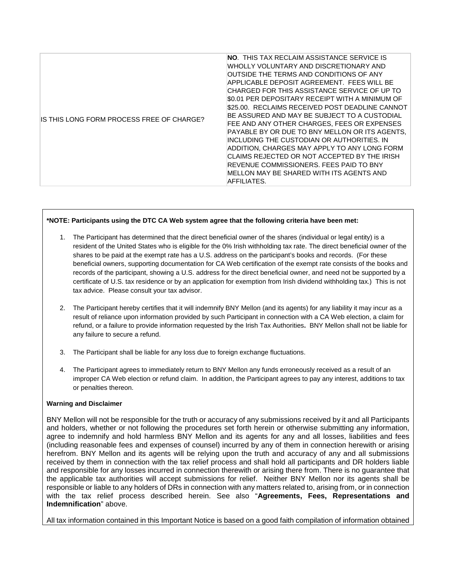| IS THIS LONG FORM PROCESS FREE OF CHARGE? | <b>NO. THIS TAX RECLAIM ASSISTANCE SERVICE IS</b><br>WHOLLY VOLUNTARY AND DISCRETIONARY AND<br>OUTSIDE THE TERMS AND CONDITIONS OF ANY<br>APPLICABLE DEPOSIT AGREEMENT. FEES WILL BE<br>CHARGED FOR THIS ASSISTANCE SERVICE OF UP TO<br>\$0.01 PER DEPOSITARY RECEIPT WITH A MINIMUM OF<br>\$25.00. RECLAIMS RECEIVED POST DEADLINE CANNOT<br>BE ASSURED AND MAY BE SUBJECT TO A CUSTODIAL<br>FEE AND ANY OTHER CHARGES, FEES OR EXPENSES<br>PAYABLE BY OR DUE TO BNY MELLON OR ITS AGENTS.<br>INCLUDING THE CUSTODIAN OR AUTHORITIES. IN<br>ADDITION, CHARGES MAY APPLY TO ANY LONG FORM<br>CLAIMS REJECTED OR NOT ACCEPTED BY THE IRISH<br>REVENUE COMMISSIONERS. FEES PAID TO BNY<br>MELLON MAY BE SHARED WITH ITS AGENTS AND |
|-------------------------------------------|----------------------------------------------------------------------------------------------------------------------------------------------------------------------------------------------------------------------------------------------------------------------------------------------------------------------------------------------------------------------------------------------------------------------------------------------------------------------------------------------------------------------------------------------------------------------------------------------------------------------------------------------------------------------------------------------------------------------------------|
|                                           | AFFILIATES.                                                                                                                                                                                                                                                                                                                                                                                                                                                                                                                                                                                                                                                                                                                      |

#### **\*NOTE: Participants using the DTC CA Web system agree that the following criteria have been met:**

- 1. The Participant has determined that the direct beneficial owner of the shares (individual or legal entity) is a resident of the United States who is eligible for the 0% Irish withholding tax rate. The direct beneficial owner of the shares to be paid at the exempt rate has a U.S. address on the participant's books and records. (For these beneficial owners, supporting documentation for CA Web certification of the exempt rate consists of the books and records of the participant, showing a U.S. address for the direct beneficial owner, and need not be supported by a certificate of U.S. tax residence or by an application for exemption from Irish dividend withholding tax.) This is not tax advice. Please consult your tax advisor.
- 2. The Participant hereby certifies that it will indemnify BNY Mellon (and its agents) for any liability it may incur as a result of reliance upon information provided by such Participant in connection with a CA Web election, a claim for refund, or a failure to provide information requested by the Irish Tax Authorities**.** BNY Mellon shall not be liable for any failure to secure a refund.
- 3. The Participant shall be liable for any loss due to foreign exchange fluctuations.
- 4. The Participant agrees to immediately return to BNY Mellon any funds erroneously received as a result of an improper CA Web election or refund claim. In addition, the Participant agrees to pay any interest, additions to tax or penalties thereon.

#### **Warning and Disclaimer**

BNY Mellon will not be responsible for the truth or accuracy of any submissions received by it and all Participants and holders, whether or not following the procedures set forth herein or otherwise submitting any information, agree to indemnify and hold harmless BNY Mellon and its agents for any and all losses, liabilities and fees (including reasonable fees and expenses of counsel) incurred by any of them in connection herewith or arising herefrom. BNY Mellon and its agents will be relying upon the truth and accuracy of any and all submissions received by them in connection with the tax relief process and shall hold all participants and DR holders liable and responsible for any losses incurred in connection therewith or arising there from. There is no guarantee that the applicable tax authorities will accept submissions for relief. Neither BNY Mellon nor its agents shall be responsible or liable to any holders of DRs in connection with any matters related to, arising from, or in connection with the tax relief process described herein. See also "**Agreements, Fees, Representations and Indemnification**" above.

All tax information contained in this Important Notice is based on a good faith compilation of information obtained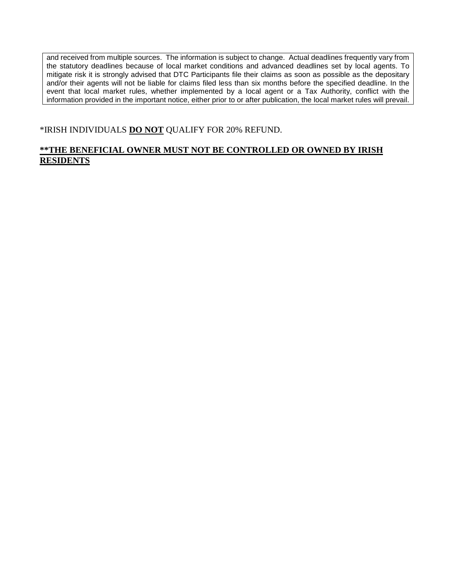and received from multiple sources. The information is subject to change. Actual deadlines frequently vary from the statutory deadlines because of local market conditions and advanced deadlines set by local agents. To mitigate risk it is strongly advised that DTC Participants file their claims as soon as possible as the depositary and/or their agents will not be liable for claims filed less than six months before the specified deadline. In the event that local market rules, whether implemented by a local agent or a Tax Authority, conflict with the information provided in the important notice, either prior to or after publication, the local market rules will prevail.

# \*IRISH INDIVIDUALS **DO NOT** QUALIFY FOR 20% REFUND.

# **\*\*THE BENEFICIAL OWNER MUST NOT BE CONTROLLED OR OWNED BY IRISH RESIDENTS**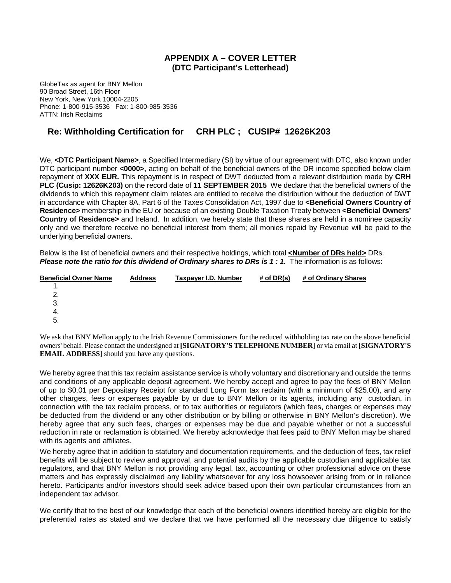## **APPENDIX A – COVER LETTER (DTC Participant's Letterhead)**

GlobeTax as agent for BNY Mellon 90 Broad Street, 16th Floor New York, New York 10004-2205 Phone: 1-800-915-3536 Fax: 1-800-985-3536 ATTN: Irish Reclaims

# **Re: Withholding Certification for CRH PLC ; CUSIP# 12626K203**

We, <DTC Participant Name>, a Specified Intermediary (SI) by virtue of our agreement with DTC, also known under DTC participant number **<0000>,** acting on behalf of the beneficial owners of the DR income specified below claim repayment of **XXX EUR.** This repayment is in respect of DWT deducted from a relevant distribution made by **CRH PLC (Cusip: 12626K203)** on the record date of **11 SEPTEMBER 2015** We declare that the beneficial owners of the dividends to which this repayment claim relates are entitled to receive the distribution without the deduction of DWT in accordance with Chapter 8A, Part 6 of the Taxes Consolidation Act, 1997 due to **<Beneficial Owners Country of Residence>** membership in the EU or because of an existing Double Taxation Treaty between **<Beneficial Owners' Country of Residence>** and Ireland. In addition, we hereby state that these shares are held in a nominee capacity only and we therefore receive no beneficial interest from them; all monies repaid by Revenue will be paid to the underlying beneficial owners.

Below is the list of beneficial owners and their respective holdings, which total <Number of DRs held> DRs. *Please note the ratio for this dividend of Ordinary shares to DRs is 1 : 1.* The information is as follows:

| <b>Beneficial Owner Name</b> | <b>Address</b> | Taxpayer I.D. Number | # of $DR(s)$ | # of Ordinary Shares |
|------------------------------|----------------|----------------------|--------------|----------------------|
|                              |                |                      |              |                      |
| 2.                           |                |                      |              |                      |
| 3.                           |                |                      |              |                      |
| -4.                          |                |                      |              |                      |
| 5.                           |                |                      |              |                      |
|                              |                |                      |              |                      |

We ask that BNY Mellon apply to the Irish Revenue Commissioners for the reduced withholding tax rate on the above beneficial owners' behalf. Please contact the undersigned at **[SIGNATORY'S TELEPHONE NUMBER]** or via email at **[SIGNATORY'S EMAIL ADDRESS]** should you have any questions.

We hereby agree that this tax reclaim assistance service is wholly voluntary and discretionary and outside the terms and conditions of any applicable deposit agreement. We hereby accept and agree to pay the fees of BNY Mellon of up to \$0.01 per Depositary Receipt for standard Long Form tax reclaim (with a minimum of \$25.00), and any other charges, fees or expenses payable by or due to BNY Mellon or its agents, including any custodian, in connection with the tax reclaim process, or to tax authorities or regulators (which fees, charges or expenses may be deducted from the dividend or any other distribution or by billing or otherwise in BNY Mellon's discretion). We hereby agree that any such fees, charges or expenses may be due and payable whether or not a successful reduction in rate or reclamation is obtained. We hereby acknowledge that fees paid to BNY Mellon may be shared with its agents and affiliates.

We hereby agree that in addition to statutory and documentation requirements, and the deduction of fees, tax relief benefits will be subject to review and approval, and potential audits by the applicable custodian and applicable tax regulators, and that BNY Mellon is not providing any legal, tax, accounting or other professional advice on these matters and has expressly disclaimed any liability whatsoever for any loss howsoever arising from or in reliance hereto. Participants and/or investors should seek advice based upon their own particular circumstances from an independent tax advisor.

We certify that to the best of our knowledge that each of the beneficial owners identified hereby are eligible for the preferential rates as stated and we declare that we have performed all the necessary due diligence to satisfy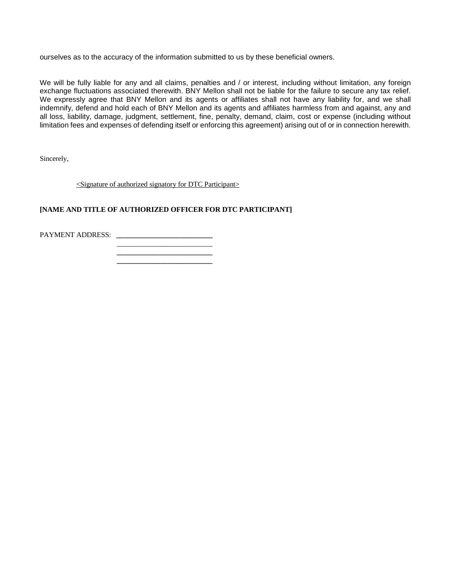ourselves as to the accuracy of the information submitted to us by these beneficial owners.

We will be fully liable for any and all claims, penalties and / or interest, including without limitation, any foreign exchange fluctuations associated therewith. BNY Mellon shall not be liable for the failure to secure any tax relief. We expressly agree that BNY Mellon and its agents or affiliates shall not have any liability for, and we shall indemnify, defend and hold each of BNY Mellon and its agents and affiliates harmless from and against, any and all loss, liability, damage, judgment, settlement, fine, penalty, demand, claim, cost or expense (including without limitation fees and expenses of defending itself or enforcing this agreement) arising out of or in connection herewith.

Sincerely,

<Signature of authorized signatory for DTC Participant>

### **[NAME AND TITLE OF AUTHORIZED OFFICER FOR DTC PARTICIPANT]**

PAYMENT ADDRESS: